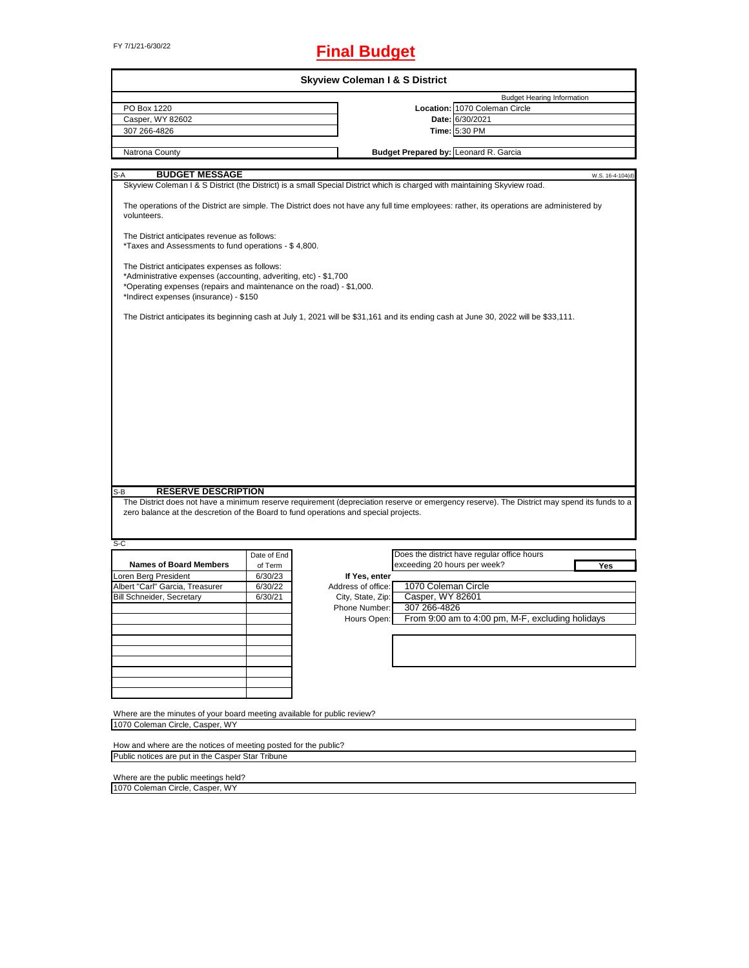# FY 7/1/21-6/30/22 **Final Budget**

| <b>Skyview Coleman I &amp; S District</b>                                                                                                                                                                                           |             |                    |                              |                                                  |                  |  |  |
|-------------------------------------------------------------------------------------------------------------------------------------------------------------------------------------------------------------------------------------|-------------|--------------------|------------------------------|--------------------------------------------------|------------------|--|--|
|                                                                                                                                                                                                                                     |             |                    |                              | <b>Budget Hearing Information</b>                |                  |  |  |
| PO Box 1220                                                                                                                                                                                                                         |             |                    |                              | Location: 1070 Coleman Circle                    |                  |  |  |
| Casper, WY 82602                                                                                                                                                                                                                    |             |                    |                              | Date: 6/30/2021                                  |                  |  |  |
| 307 266-4826                                                                                                                                                                                                                        |             |                    |                              | Time: 5:30 PM                                    |                  |  |  |
|                                                                                                                                                                                                                                     |             |                    |                              |                                                  |                  |  |  |
| Natrona County                                                                                                                                                                                                                      |             |                    |                              | Budget Prepared by: Leonard R. Garcia            |                  |  |  |
| <b>BUDGET MESSAGE</b><br>S-A                                                                                                                                                                                                        |             |                    |                              |                                                  | W.S. 16-4-104(d) |  |  |
| Skyview Coleman I & S District (the District) is a small Special District which is charged with maintaining Skyview road.                                                                                                           |             |                    |                              |                                                  |                  |  |  |
| The operations of the District are simple. The District does not have any full time employees: rather, its operations are administered by<br>volunteers.                                                                            |             |                    |                              |                                                  |                  |  |  |
| The District anticipates revenue as follows:<br>*Taxes and Assessments to fund operations - \$4,800.                                                                                                                                |             |                    |                              |                                                  |                  |  |  |
| The District anticipates expenses as follows:<br>*Administrative expenses (accounting, adveriting, etc) - \$1,700<br>*Operating expenses (repairs and maintenance on the road) - \$1,000.<br>*Indirect expenses (insurance) - \$150 |             |                    |                              |                                                  |                  |  |  |
| The District anticipates its beginning cash at July 1, 2021 will be \$31,161 and its ending cash at June 30, 2022 will be \$33,111.                                                                                                 |             |                    |                              |                                                  |                  |  |  |
|                                                                                                                                                                                                                                     |             |                    |                              |                                                  |                  |  |  |
|                                                                                                                                                                                                                                     |             |                    |                              |                                                  |                  |  |  |
|                                                                                                                                                                                                                                     |             |                    |                              |                                                  |                  |  |  |
|                                                                                                                                                                                                                                     |             |                    |                              |                                                  |                  |  |  |
|                                                                                                                                                                                                                                     |             |                    |                              |                                                  |                  |  |  |
|                                                                                                                                                                                                                                     |             |                    |                              |                                                  |                  |  |  |
|                                                                                                                                                                                                                                     |             |                    |                              |                                                  |                  |  |  |
|                                                                                                                                                                                                                                     |             |                    |                              |                                                  |                  |  |  |
|                                                                                                                                                                                                                                     |             |                    |                              |                                                  |                  |  |  |
|                                                                                                                                                                                                                                     |             |                    |                              |                                                  |                  |  |  |
| <b>RESERVE DESCRIPTION</b><br>S-B                                                                                                                                                                                                   |             |                    |                              |                                                  |                  |  |  |
| The District does not have a minimum reserve requirement (depreciation reserve or emergency reserve). The District may spend its funds to a                                                                                         |             |                    |                              |                                                  |                  |  |  |
| zero balance at the descretion of the Board to fund operations and special projects.                                                                                                                                                |             |                    |                              |                                                  |                  |  |  |
|                                                                                                                                                                                                                                     |             |                    |                              |                                                  |                  |  |  |
| S-C                                                                                                                                                                                                                                 | Date of End |                    |                              | Does the district have regular office hours      |                  |  |  |
| <b>Names of Board Members</b>                                                                                                                                                                                                       |             |                    | exceeding 20 hours per week? |                                                  |                  |  |  |
|                                                                                                                                                                                                                                     | of Term     |                    |                              |                                                  | Yes              |  |  |
| Loren Berg President                                                                                                                                                                                                                | 6/30/23     | If Yes, enter      |                              |                                                  |                  |  |  |
| Albert "Carl" Garcia, Treasurer                                                                                                                                                                                                     | 6/30/22     | Address of office: | 1070 Coleman Circle          |                                                  |                  |  |  |
| <b>Bill Schneider, Secretary</b>                                                                                                                                                                                                    | 6/30/21     | City, State, Zip:  | Casper, WY 82601             |                                                  |                  |  |  |
|                                                                                                                                                                                                                                     |             | Phone Number:      | 307 266-4826                 |                                                  |                  |  |  |
|                                                                                                                                                                                                                                     |             | Hours Open:        |                              | From 9:00 am to 4:00 pm, M-F, excluding holidays |                  |  |  |
|                                                                                                                                                                                                                                     |             |                    |                              |                                                  |                  |  |  |
|                                                                                                                                                                                                                                     |             |                    |                              |                                                  |                  |  |  |
|                                                                                                                                                                                                                                     |             |                    |                              |                                                  |                  |  |  |
|                                                                                                                                                                                                                                     |             |                    |                              |                                                  |                  |  |  |
|                                                                                                                                                                                                                                     |             |                    |                              |                                                  |                  |  |  |
| Where are the minutes of your board meeting available for public review?                                                                                                                                                            |             |                    |                              |                                                  |                  |  |  |
| 1070 Coleman Circle, Casper, WY                                                                                                                                                                                                     |             |                    |                              |                                                  |                  |  |  |
| How and where are the notices of meeting posted for the public?                                                                                                                                                                     |             |                    |                              |                                                  |                  |  |  |
| Public notices are put in the Casper Star Tribune                                                                                                                                                                                   |             |                    |                              |                                                  |                  |  |  |
|                                                                                                                                                                                                                                     |             |                    |                              |                                                  |                  |  |  |
| Where are the public meetings held?<br>1070 Coleman Circle, Casper, WY                                                                                                                                                              |             |                    |                              |                                                  |                  |  |  |

1070 Coleman Circle, Casper, WY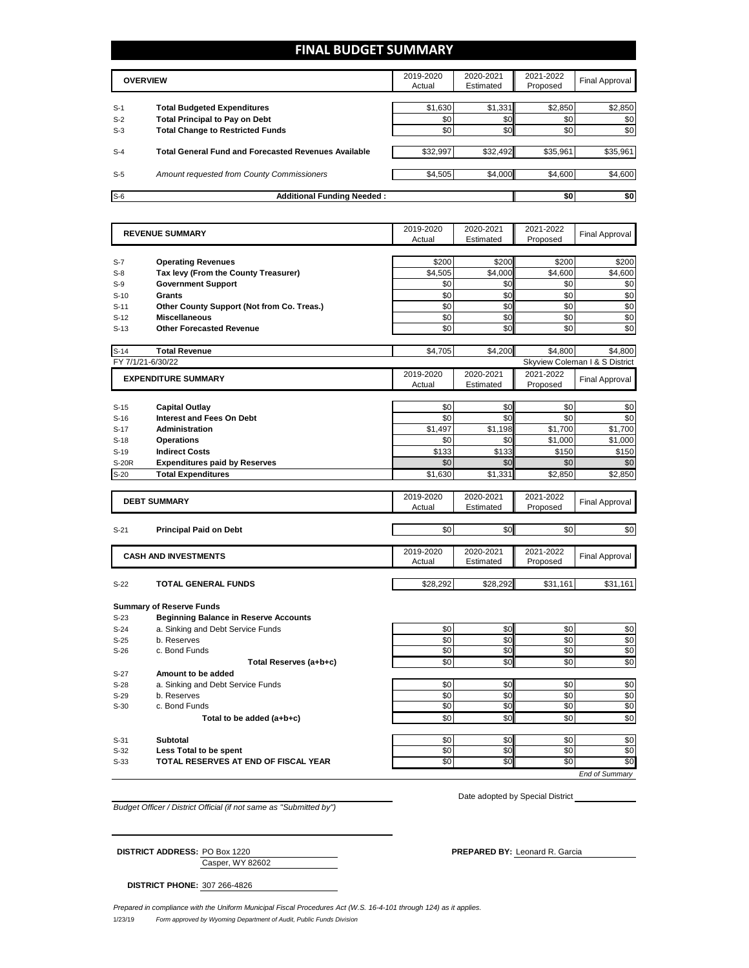### **FINAL BUDGET SUMMARY**

| \$1,331<br>\$1,630                                                                                                                             |                                    |                                        |
|------------------------------------------------------------------------------------------------------------------------------------------------|------------------------------------|----------------------------------------|
|                                                                                                                                                |                                    |                                        |
| \$0                                                                                                                                            | \$2,850<br>\$0<br>\$0 <sub>1</sub> | \$2,850<br>\$0                         |
| \$0                                                                                                                                            | \$0<br>\$0                         | \$0                                    |
|                                                                                                                                                |                                    | \$35,961                               |
|                                                                                                                                                |                                    |                                        |
|                                                                                                                                                | \$4,600                            | \$4,600                                |
|                                                                                                                                                |                                    | \$0                                    |
| <b>Total General Fund and Forecasted Revenues Available</b><br>Amount requested from County Commissioners<br><b>Additional Funding Needed:</b> | \$32,997<br>\$4,505                | \$32,492<br>\$35,961<br>\$4,000<br>\$0 |

|                | <b>REVENUE SUMMARY</b>                                             | 2019-2020        | 2020-2021        | 2021-2022       | <b>Final Approval</b>          |
|----------------|--------------------------------------------------------------------|------------------|------------------|-----------------|--------------------------------|
|                |                                                                    | Actual           | Estimated        | Proposed        |                                |
|                |                                                                    |                  |                  |                 |                                |
| $S-7$          | <b>Operating Revenues</b>                                          | \$200<br>\$4,505 | \$200<br>\$4,000 | \$200           | \$200<br>\$4,600               |
| $S-8$<br>$S-9$ | Tax levy (From the County Treasurer)                               | \$0              | \$0              | \$4,600<br>\$0  |                                |
|                | <b>Government Support</b>                                          | \$0              | \$0              | \$0             | \$0                            |
| $S-10$         | <b>Grants</b>                                                      | \$0              | \$0              | \$0             | \$0<br>\$0                     |
| $S-11$         | Other County Support (Not from Co. Treas.)<br><b>Miscellaneous</b> | \$0              | \$0              | \$0             |                                |
| $S-12$         |                                                                    |                  |                  |                 | \$0                            |
| $S-13$         | <b>Other Forecasted Revenue</b>                                    | \$0              | \$0              | \$0             | \$0                            |
| $S-14$         | <b>Total Revenue</b>                                               | \$4,705          | \$4,200          | \$4.800         | \$4,800                        |
|                | FY 7/1/21-6/30/22                                                  |                  |                  |                 | Skyview Coleman I & S District |
|                | <b>EXPENDITURE SUMMARY</b>                                         | 2019-2020        | 2020-2021        | 2021-2022       |                                |
|                |                                                                    | Actual           | Estimated        | Proposed        | <b>Final Approval</b>          |
|                |                                                                    |                  |                  |                 |                                |
| $S-15$         | <b>Capital Outlay</b>                                              | \$0              | \$0              | \$0             | \$0                            |
| $S-16$         | Interest and Fees On Debt                                          | \$0              | \$0              | \$0             | \$0                            |
| $S-17$         | <b>Administration</b>                                              | \$1,497          | \$1,198          | \$1,700         | \$1,700                        |
| $S-18$         | <b>Operations</b>                                                  | \$0              | \$0              | \$1,000         | \$1,000                        |
| $S-19$         | <b>Indirect Costs</b>                                              | \$133            | \$133            | \$150           | \$150                          |
| S-20R          | <b>Expenditures paid by Reserves</b>                               | \$0              | \$0              | \$0             | \$0                            |
| $S-20$         | <b>Total Expenditures</b>                                          | \$1,630          | \$1,331          | \$2,850         | \$2,850                        |
|                |                                                                    | 2019-2020        | 2020-2021        | 2021-2022       |                                |
|                | <b>DEBT SUMMARY</b>                                                | Actual           | Estimated        | Proposed        | <b>Final Approval</b>          |
|                |                                                                    |                  |                  |                 |                                |
| $S-21$         | <b>Principal Paid on Debt</b>                                      | \$0              | \$0              | \$0             | \$0                            |
|                |                                                                    |                  |                  |                 |                                |
|                | <b>CASH AND INVESTMENTS</b>                                        | 2019-2020        | 2020-2021        | 2021-2022       | <b>Final Approval</b>          |
|                |                                                                    | Actual           | Estimated        | Proposed        |                                |
| $S-22$         | <b>TOTAL GENERAL FUNDS</b>                                         | \$28.292         | \$28,292         | \$31.161        | \$31,161                       |
|                |                                                                    |                  |                  |                 |                                |
|                | <b>Summary of Reserve Funds</b>                                    |                  |                  |                 |                                |
| $S-23$         | <b>Beginning Balance in Reserve Accounts</b>                       |                  |                  |                 |                                |
| $S-24$         | a. Sinking and Debt Service Funds                                  | \$0              | \$0              | \$0             | \$0                            |
| $S-25$         | b. Reserves                                                        | \$0              | \$0              | \$0             | \$0                            |
| $S-26$         | c. Bond Funds                                                      | \$0              | \$0              | \$0             | \$0                            |
|                | Total Reserves (a+b+c)                                             | \$0              | \$0              | \$0             | \$0                            |
| $S-27$         | Amount to be added                                                 |                  |                  |                 |                                |
| $S-28$         | a. Sinking and Debt Service Funds                                  | \$0              | \$0              | \$0             | \$0                            |
| $S-29$         | b. Reserves                                                        | \$0              | \$0              | \$0             | \$0                            |
| $S-30$         | c. Bond Funds                                                      | \$0              | \$0              | \$0             | \$0                            |
|                | Total to be added (a+b+c)                                          | \$0              | \$0              | \$0             | \$0                            |
|                |                                                                    |                  |                  |                 |                                |
| $S-31$         | <b>Subtotal</b>                                                    | \$0              | \$0              | \$0             | \$0                            |
| $S-32$         | Less Total to be spent                                             | \$0              | \$0              | \$0             | \$0                            |
| $S-33$         | TOTAL RESERVES AT END OF FISCAL YEAR                               | $\overline{50}$  | $\overline{50}$  | $\overline{50}$ | \$0                            |
|                |                                                                    |                  |                  |                 | <b>End of Summary</b>          |

*Budget Officer / District Official (if not same as "Submitted by")*

Date adopted by Special District

| <b>DISTRICT ADDRESS: PO Box 1220</b> | <b>PREPARED BY: Leonard R. Garcia</b> |
|--------------------------------------|---------------------------------------|
| Casper, WY 82602                     |                                       |

**DISTRICT PHONE:** 307 266-4826

1/23/19 *Form approved by Wyoming Department of Audit, Public Funds Division Prepared in compliance with the Uniform Municipal Fiscal Procedures Act (W.S. 16-4-101 through 124) as it applies.*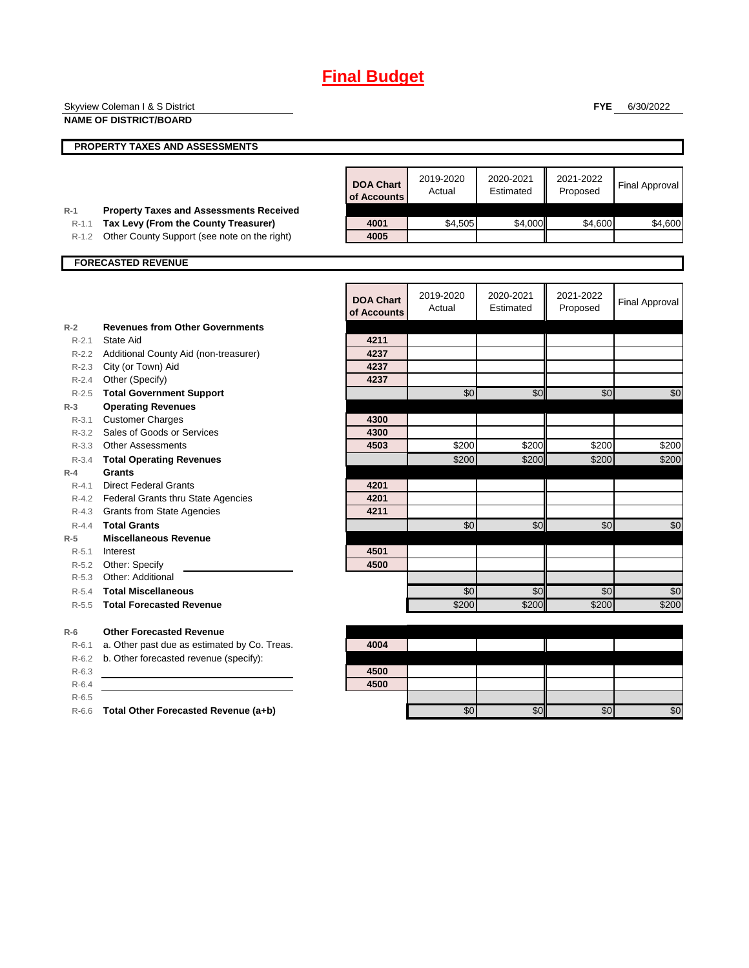|           | Skyview Coleman I & S District                 |                  |           |           | <b>FYE</b> | 6/30/2022             |
|-----------|------------------------------------------------|------------------|-----------|-----------|------------|-----------------------|
|           | <b>NAME OF DISTRICT/BOARD</b>                  |                  |           |           |            |                       |
|           |                                                |                  |           |           |            |                       |
|           | PROPERTY TAXES AND ASSESSMENTS                 |                  |           |           |            |                       |
|           |                                                |                  |           |           |            |                       |
|           |                                                | <b>DOA Chart</b> | 2019-2020 | 2020-2021 | 2021-2022  | <b>Final Approval</b> |
|           |                                                | of Accounts      | Actual    | Estimated | Proposed   |                       |
| $R-1$     | <b>Property Taxes and Assessments Received</b> |                  |           |           |            |                       |
| $R - 1.1$ | Tax Levy (From the County Treasurer)           | 4001             | \$4,505   | \$4,000   | \$4,600    | \$4,600               |
| $R-1.2$   | Other County Support (see note on the right)   | 4005             |           |           |            |                       |
|           |                                                |                  |           |           |            |                       |
|           | <b>FORECASTED REVENUE</b>                      |                  |           |           |            |                       |
|           |                                                |                  |           |           |            |                       |
|           |                                                |                  | 2019-2020 | 2020-2021 | 2021-2022  |                       |
|           |                                                | <b>DOA Chart</b> | Actual    | Estimated | Proposed   | <b>Final Approval</b> |
|           |                                                | of Accounts      |           |           |            |                       |
| $R-2$     | <b>Revenues from Other Governments</b>         |                  |           |           |            |                       |
| $R - 2.1$ | State Aid                                      | 4211             |           |           |            |                       |
| R-2.2     | Additional County Aid (non-treasurer)          | 4237             |           |           |            |                       |
|           | R-2.3 City (or Town) Aid                       | 4237             |           |           |            |                       |
|           | R-2.4 Other (Specify)                          | 4237             |           |           |            |                       |
| $R - 2.5$ | <b>Total Government Support</b>                |                  | \$0       | \$0       | \$0        | \$0                   |
| $R-3$     | <b>Operating Revenues</b>                      |                  |           |           |            |                       |
| R-3.1     | <b>Customer Charges</b>                        | 4300             |           |           |            |                       |
| $R - 3.2$ | Sales of Goods or Services                     | 4300             |           |           |            |                       |
| $R - 3.3$ | <b>Other Assessments</b>                       | 4503             | \$200     | \$200     | \$200      | \$200                 |
| $R - 3.4$ | <b>Total Operating Revenues</b>                |                  | \$200     | \$200     | \$200      | \$200                 |
| $R-4$     | Grants                                         |                  |           |           |            |                       |
| $R-4.1$   | <b>Direct Federal Grants</b>                   | 4201             |           |           |            |                       |
|           | R-4.2 Federal Grants thru State Agencies       | 4201             |           |           |            |                       |
| $R - 4.3$ | <b>Grants from State Agencies</b>              | 4211             |           |           |            |                       |
| $R - 4.4$ | <b>Total Grants</b>                            |                  | \$0       | \$0       | \$0        | \$0                   |
| $R-5$     | <b>Miscellaneous Revenue</b>                   |                  |           |           |            |                       |
| $R - 5.1$ | Interest                                       | 4501             |           |           |            |                       |
| R-5.2     | Other: Specify                                 | 4500             |           |           |            |                       |
| $R - 5.3$ | Other: Additional                              |                  |           |           |            |                       |
| $R-5.4$   | <b>Total Miscellaneous</b>                     |                  | \$0       | \$0       | \$0        | \$0                   |
| $R - 5.5$ | <b>Total Forecasted Revenue</b>                |                  | \$200     | \$200     | \$200      | \$200                 |
| $R-6$     | <b>Other Forecasted Revenue</b>                |                  |           |           |            |                       |
| $R-6.1$   | a. Other past due as estimated by Co. Treas.   | 4004             |           |           |            |                       |
| $R-6.2$   | b. Other forecasted revenue (specify):         |                  |           |           |            |                       |
| $R-6.3$   |                                                | 4500             |           |           |            |                       |
| $R-6.4$   |                                                | 4500             |           |           |            |                       |
| $R-6.5$   |                                                |                  |           |           |            |                       |
|           | R-6.6 Total Other Forecasted Revenue (a+b)     |                  | \$0       | \$0       | \$0        | \$0                   |
|           |                                                |                  |           |           |            |                       |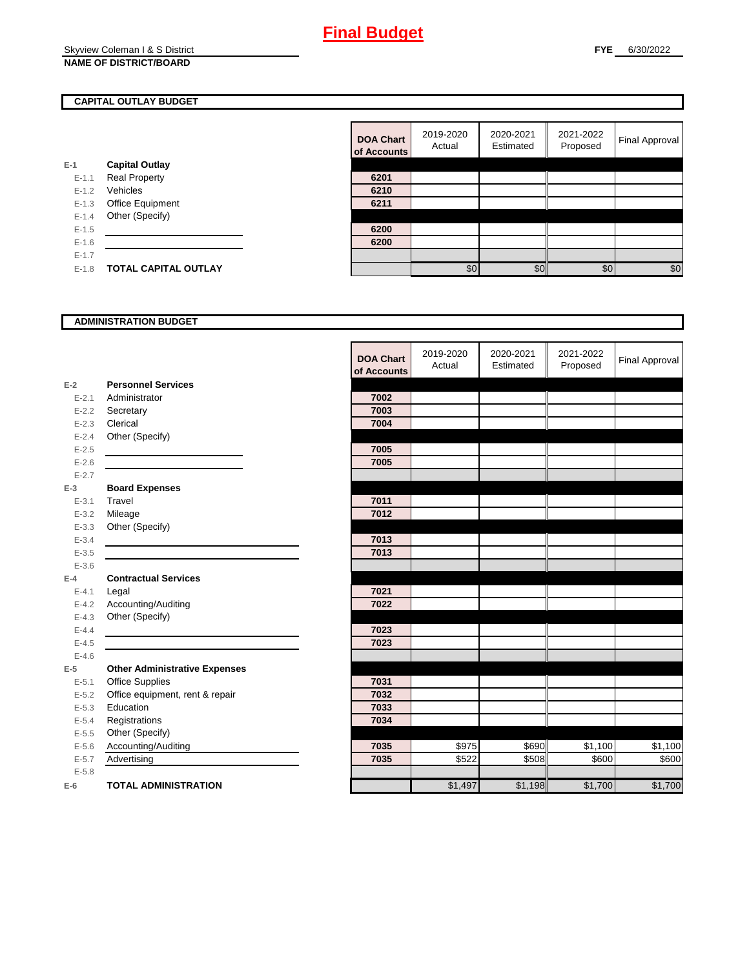### **CAPITAL OUTLAY BUDGET**

|           |                       | VI AVVV |
|-----------|-----------------------|---------|
| $E-1$     | <b>Capital Outlay</b> |         |
| $E - 1.1$ | <b>Real Property</b>  | 6201    |
| $E - 1.2$ | Vehicles              | 6210    |
| $E-1.3$   | Office Equipment      | 6211    |
| $E - 1.4$ | Other (Specify)       |         |
| $E-1.5$   |                       | 6200    |
| $E-1.6$   |                       | 6200    |
| $E-1.7$   |                       |         |
| $E - 1.8$ | TOTAL CAPITAL OUTLAY  |         |
|           |                       |         |

| <b>DOA Chart</b><br>of Accounts | 2019-2020<br>Actual | 2020-2021<br>Estimated | 2021-2022<br>Proposed | <b>Final Approval</b> |
|---------------------------------|---------------------|------------------------|-----------------------|-----------------------|
|                                 |                     |                        |                       |                       |
| 6201                            |                     |                        |                       |                       |
| 6210                            |                     |                        |                       |                       |
| 6211                            |                     |                        |                       |                       |
|                                 |                     |                        |                       |                       |
| 6200                            |                     |                        |                       |                       |
| 6200                            |                     |                        |                       |                       |
|                                 |                     |                        |                       |                       |
|                                 | \$0                 | ፍጠ                     | \$0                   | \$0                   |

#### **ADMINISTRATION BUDGET**

|           |                                      | <b>DOA Chart</b><br>of Accounts | 2019-2020<br>Actual | 2020-2021<br>Estimated | 2021-2022<br>Proposed | <b>Final Approval</b> |
|-----------|--------------------------------------|---------------------------------|---------------------|------------------------|-----------------------|-----------------------|
| $E-2$     | <b>Personnel Services</b>            |                                 |                     |                        |                       |                       |
| $E - 2.1$ | Administrator                        | 7002                            |                     |                        |                       |                       |
| $E - 2.2$ | Secretary                            | 7003                            |                     |                        |                       |                       |
| $E - 2.3$ | Clerical                             | 7004                            |                     |                        |                       |                       |
| $E - 2.4$ | Other (Specify)                      |                                 |                     |                        |                       |                       |
| $E-2.5$   |                                      | 7005                            |                     |                        |                       |                       |
| $E-2.6$   |                                      | 7005                            |                     |                        |                       |                       |
| $E - 2.7$ |                                      |                                 |                     |                        |                       |                       |
| $E-3$     | <b>Board Expenses</b>                |                                 |                     |                        |                       |                       |
| $E - 3.1$ | Travel                               | 7011                            |                     |                        |                       |                       |
| $E - 3.2$ | Mileage                              | 7012                            |                     |                        |                       |                       |
| $E - 3.3$ | Other (Specify)                      |                                 |                     |                        |                       |                       |
| $E - 3.4$ |                                      | 7013                            |                     |                        |                       |                       |
| $E - 3.5$ |                                      | 7013                            |                     |                        |                       |                       |
| $E - 3.6$ |                                      |                                 |                     |                        |                       |                       |
| $E-4$     | <b>Contractual Services</b>          |                                 |                     |                        |                       |                       |
| $E - 4.1$ | Legal                                | 7021                            |                     |                        |                       |                       |
| $E - 4.2$ | Accounting/Auditing                  | 7022                            |                     |                        |                       |                       |
| $E - 4.3$ | Other (Specify)                      |                                 |                     |                        |                       |                       |
| $E - 4.4$ |                                      | 7023                            |                     |                        |                       |                       |
| $E-4.5$   |                                      | 7023                            |                     |                        |                       |                       |
| $E-4.6$   |                                      |                                 |                     |                        |                       |                       |
| $E-5$     | <b>Other Administrative Expenses</b> |                                 |                     |                        |                       |                       |
| $E - 5.1$ | Office Supplies                      | 7031                            |                     |                        |                       |                       |
| $E - 5.2$ | Office equipment, rent & repair      | 7032                            |                     |                        |                       |                       |
| $E - 5.3$ | Education                            | 7033                            |                     |                        |                       |                       |
| $E - 5.4$ | Registrations                        | 7034                            |                     |                        |                       |                       |
| $E - 5.5$ | Other (Specify)                      |                                 |                     |                        |                       |                       |
| $E-5.6$   | Accounting/Auditing                  | 7035                            | \$975               | \$690                  | \$1,100               | $\overline{$}1,100$   |
| $E - 5.7$ | Advertising                          | 7035                            | \$522               | \$508                  | \$600                 | \$600                 |
| $E - 5.8$ |                                      |                                 |                     |                        |                       |                       |
| $E-6$     | <b>TOTAL ADMINISTRATION</b>          |                                 | \$1,497             | \$1,198                | \$1,700               | \$1,700               |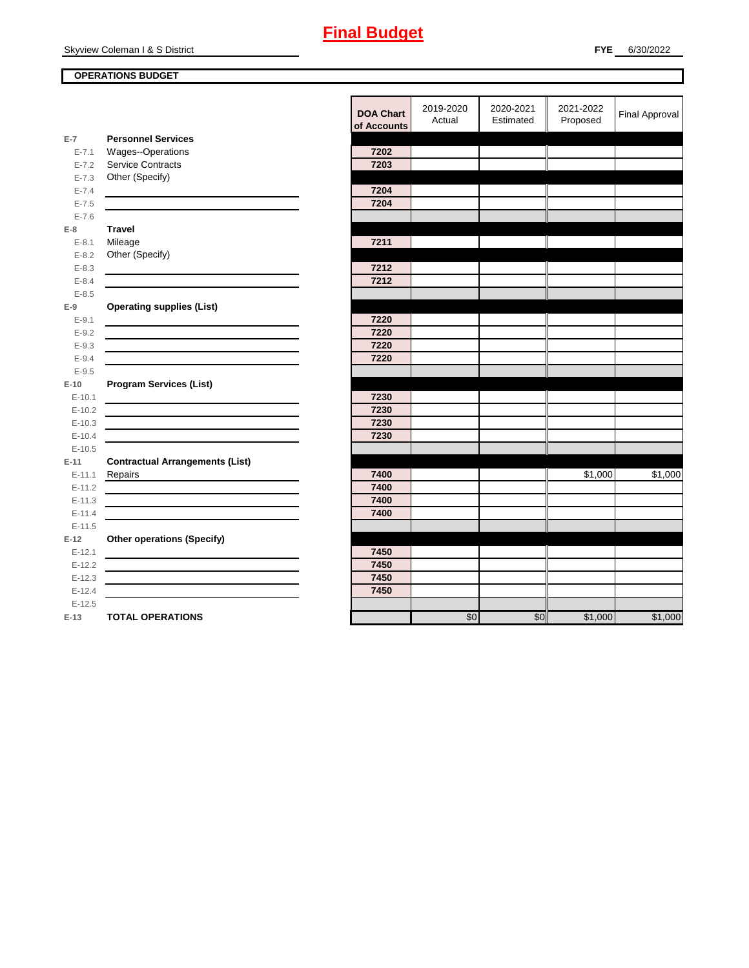## Skyview Coleman I & S District

### **OPERATIONS BUDGET**

|            |                                                                                                                                                                                                                                      | <b>DOA Chart</b><br>of Accounts | 2019-2020<br>Actual | 2020-2021<br>Estimated | 2021-2022<br>Proposed | <b>Final Approval</b> |
|------------|--------------------------------------------------------------------------------------------------------------------------------------------------------------------------------------------------------------------------------------|---------------------------------|---------------------|------------------------|-----------------------|-----------------------|
| $E-7$      | <b>Personnel Services</b>                                                                                                                                                                                                            |                                 |                     |                        |                       |                       |
| $E - 7.1$  | Wages--Operations                                                                                                                                                                                                                    | 7202                            |                     |                        |                       |                       |
| $E - 7.2$  | <b>Service Contracts</b>                                                                                                                                                                                                             | 7203                            |                     |                        |                       |                       |
| $E - 7.3$  | Other (Specify)                                                                                                                                                                                                                      |                                 |                     |                        |                       |                       |
| $E - 7.4$  |                                                                                                                                                                                                                                      | 7204                            |                     |                        |                       |                       |
| $E - 7.5$  |                                                                                                                                                                                                                                      | 7204                            |                     |                        |                       |                       |
| $E - 7.6$  |                                                                                                                                                                                                                                      |                                 |                     |                        |                       |                       |
| $E-8$      | <b>Travel</b>                                                                                                                                                                                                                        |                                 |                     |                        |                       |                       |
| $E-8.1$    | Mileage                                                                                                                                                                                                                              | 7211                            |                     |                        |                       |                       |
| $E - 8.2$  | Other (Specify)                                                                                                                                                                                                                      |                                 |                     |                        |                       |                       |
| $E - 8.3$  |                                                                                                                                                                                                                                      | 7212                            |                     |                        |                       |                       |
| $E - 8.4$  | <u>and the state of the state of the state of the state of the state of the state of the state of the state of the state of the state of the state of the state of the state of the state of the state of the state of the state</u> | 7212                            |                     |                        |                       |                       |
| $E - 8.5$  |                                                                                                                                                                                                                                      |                                 |                     |                        |                       |                       |
| $E-9$      | <b>Operating supplies (List)</b>                                                                                                                                                                                                     |                                 |                     |                        |                       |                       |
| $E-9.1$    |                                                                                                                                                                                                                                      | 7220                            |                     |                        |                       |                       |
| $E - 9.2$  |                                                                                                                                                                                                                                      | 7220                            |                     |                        |                       |                       |
| $E - 9.3$  |                                                                                                                                                                                                                                      | 7220                            |                     |                        |                       |                       |
| $E - 9.4$  |                                                                                                                                                                                                                                      | 7220                            |                     |                        |                       |                       |
| $E - 9.5$  |                                                                                                                                                                                                                                      |                                 |                     |                        |                       |                       |
| $E-10$     | <b>Program Services (List)</b>                                                                                                                                                                                                       |                                 |                     |                        |                       |                       |
| $E-10.1$   |                                                                                                                                                                                                                                      | 7230                            |                     |                        |                       |                       |
| $E-10.2$   |                                                                                                                                                                                                                                      | 7230                            |                     |                        |                       |                       |
| $E-10.3$   |                                                                                                                                                                                                                                      | 7230                            |                     |                        |                       |                       |
| $E-10.4$   |                                                                                                                                                                                                                                      | 7230                            |                     |                        |                       |                       |
| $E-10.5$   |                                                                                                                                                                                                                                      |                                 |                     |                        |                       |                       |
| $E-11$     | <b>Contractual Arrangements (List)</b>                                                                                                                                                                                               |                                 |                     |                        |                       |                       |
| $E - 11.1$ | Repairs                                                                                                                                                                                                                              | 7400                            |                     |                        | \$1,000               | \$1,000               |
| $E - 11.2$ |                                                                                                                                                                                                                                      | 7400                            |                     |                        |                       |                       |
| $E-11.3$   | <u> 1989 - Johann Stein, Amerikaansk politiker († 1908)</u>                                                                                                                                                                          | 7400                            |                     |                        |                       |                       |
| $E-11.4$   |                                                                                                                                                                                                                                      | 7400                            |                     |                        |                       |                       |
| $E-11.5$   |                                                                                                                                                                                                                                      |                                 |                     |                        |                       |                       |
| $E-12$     | <b>Other operations (Specify)</b>                                                                                                                                                                                                    |                                 |                     |                        |                       |                       |
| $E-12.1$   |                                                                                                                                                                                                                                      | 7450                            |                     |                        |                       |                       |
| $E-12.2$   |                                                                                                                                                                                                                                      | 7450                            |                     |                        |                       |                       |
| $E-12.3$   |                                                                                                                                                                                                                                      | 7450                            |                     |                        |                       |                       |
| $E-12.4$   |                                                                                                                                                                                                                                      | 7450                            |                     |                        |                       |                       |
| $E-12.5$   |                                                                                                                                                                                                                                      |                                 |                     |                        |                       |                       |
| $E-13$     | <b>TOTAL OPERATIONS</b>                                                                                                                                                                                                              |                                 | \$0                 | \$0                    | \$1,000               | \$1,000               |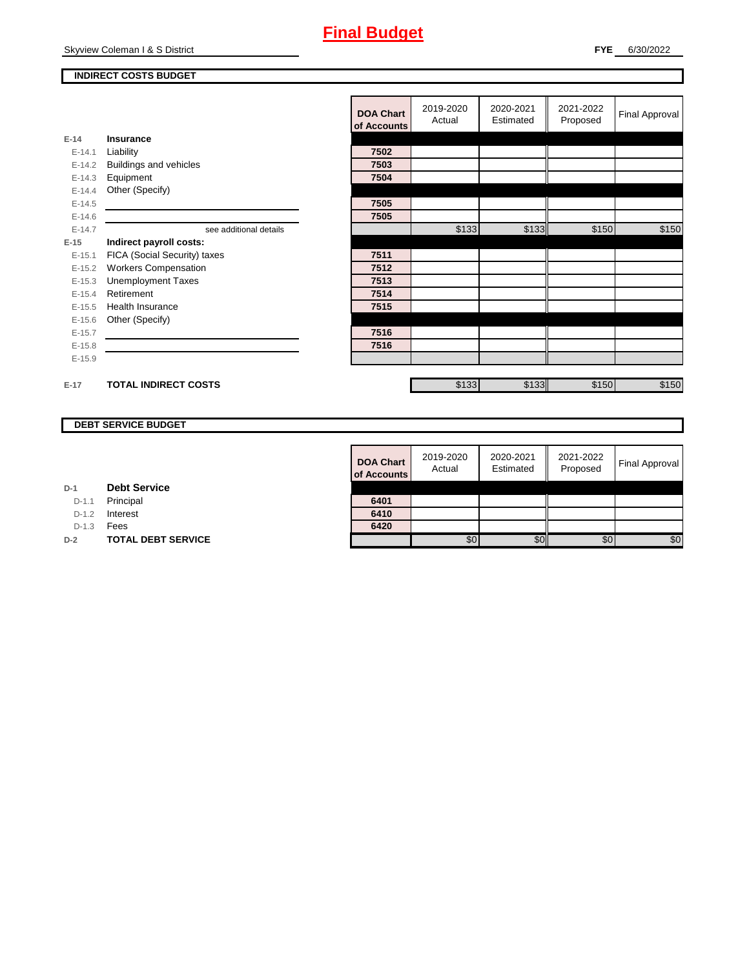Skyview Coleman I & S District

### **INDIRECT COSTS BUDGET**

|          |                              | <b>DOA Chart</b><br>of Accounts | 2019-2020<br>Actual | 2020-2021<br>Estimated | 2021-2022<br>Proposed | Final Approval |
|----------|------------------------------|---------------------------------|---------------------|------------------------|-----------------------|----------------|
| $E-14$   | <b>Insurance</b>             |                                 |                     |                        |                       |                |
| $E-14.1$ | Liability                    | 7502                            |                     |                        |                       |                |
| $E-14.2$ | Buildings and vehicles       | 7503                            |                     |                        |                       |                |
| $E-14.3$ | Equipment                    | 7504                            |                     |                        |                       |                |
| $E-14.4$ | Other (Specify)              |                                 |                     |                        |                       |                |
| $E-14.5$ |                              | 7505                            |                     |                        |                       |                |
| $E-14.6$ |                              | 7505                            |                     |                        |                       |                |
| $E-14.7$ | see additional details       |                                 | \$133               | \$133                  | \$150                 | \$150          |
| $E-15$   | Indirect payroll costs:      |                                 |                     |                        |                       |                |
| $E-15.1$ | FICA (Social Security) taxes | 7511                            |                     |                        |                       |                |
| $E-15.2$ | <b>Workers Compensation</b>  | 7512                            |                     |                        |                       |                |
| $E-15.3$ | <b>Unemployment Taxes</b>    | 7513                            |                     |                        |                       |                |
| $E-15.4$ | Retirement                   | 7514                            |                     |                        |                       |                |
| $E-15.5$ | <b>Health Insurance</b>      | 7515                            |                     |                        |                       |                |
| $E-15.6$ | Other (Specify)              |                                 |                     |                        |                       |                |
| $E-15.7$ |                              | 7516                            |                     |                        |                       |                |
| $E-15.8$ |                              | 7516                            |                     |                        |                       |                |
| $E-15.9$ |                              |                                 |                     |                        |                       |                |
|          |                              |                                 |                     |                        |                       |                |
| $E-17$   | <b>TOTAL INDIRECT COSTS</b>  |                                 | \$133               | \$133                  | \$150                 | \$150          |

#### **DEBT SERVICE BUDGET**

| <b>DOA Chart</b><br>of Accounts | 2019-2020<br>Actual | 2020-2021<br>Estimated | 2021-2022<br>Proposed | <b>Final Approval</b> |
|---------------------------------|---------------------|------------------------|-----------------------|-----------------------|
|                                 |                     |                        |                       |                       |
| 6401                            |                     |                        |                       |                       |
| 6410                            |                     |                        |                       |                       |
| 6420                            |                     |                        |                       |                       |
|                                 | \$0                 |                        | \$С                   | \$0                   |

**D-1 Debt Service**

D-1.1 Principal

D-1.2 **Interest** 

D-1.3 **Fees** 

**D-2 TOTAL DEBT SERVICE**